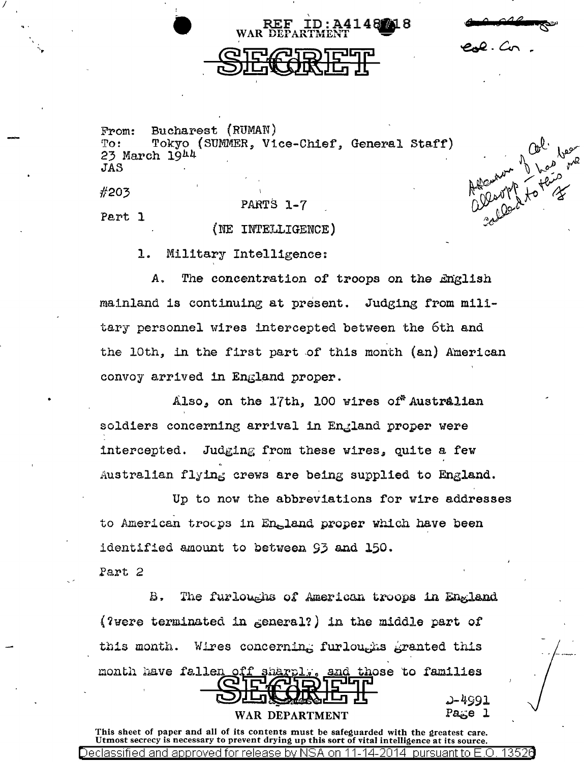$eA.$  Co

Rent of the

Bucharest (RUMAN) From: Tokyo (SUMMER, Vice-Chief, General Staff)  $To:$ 23 March  $19<sup>h4</sup>$ JAS

#203

PARTS 1-7

Part 1

(NE INTELLIGENCE)

1. Military Intelligence:

A. The concentration of troops on the English mainland is continuing at present. Judging from military personnel wires intercepted between the 6th and the 10th, in the first part of this month (an) American convoy arrived in England proper.

Also, on the 17th, 100 wires of Australian soldiers concerning arrival in England proper were Judging from these wires, quite a few intercepted. Australian flying crews are being supplied to England.

Up to now the abbreviations for wire addresses to American troops in England proper which have been identified amount to between 93 and 150. Part 2

The furloughs of American troops in England В. (?were terminated in  $\epsilon$ eneral?) in the middle part of Wires concerning furloughs granted this this month. month have fallen off and those to families Pare

WAR DEPARTMENT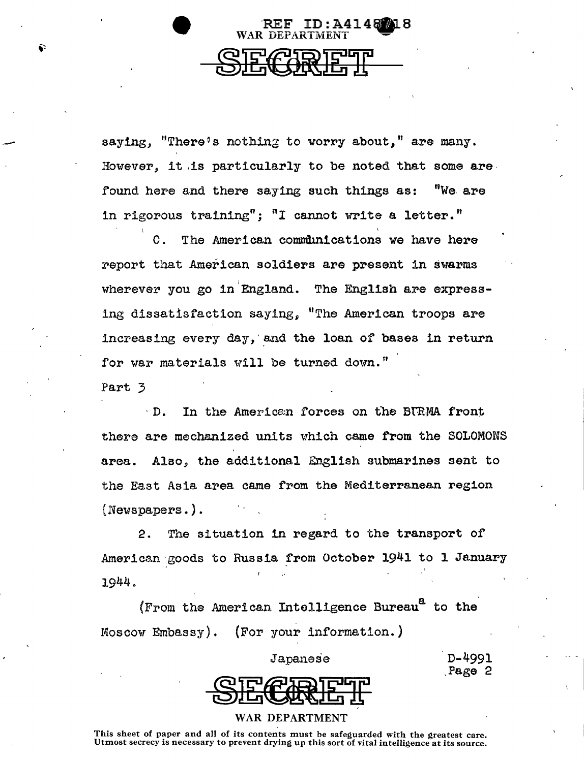

saying, "There's nothing to worry about," are many. However, it ,is particularly to be noted that some are found here and there saying such things as: "We. are in rigorous training": "I cannot write a letter."

C. The American communications we have here report that American soldiers are present in swarms wherever you go in England. The English are expressing dissatisfaction saying. "The American troops are increasing every day, and the loan of bases in return for war materials will be turned down."

Part 3

-

· D. In the Americe;n forces on tbe Bt'R·MA front there are mechanized units which came from the SOLOMONS area. Also, the additional English submarines sent to the East Asia area came from the Mediterranean region (Newspapers.).

2. The situation in regard to the transport of American goods to Russia from October 1941 to 1 January 1944.

 $(F_{\text{r}}$ om the American Intelligence Bureau $^{\text{a}}$  to the Moscow Embassy). (For your information.)



D-4991 Page 2

#### WAR DEPARTMENT

This sheet of paper and all of its contents must be safeguarded with the greatest care.<br>Utmost secrecy is necessary to prevent drying up this sort of vital intelligence at its source.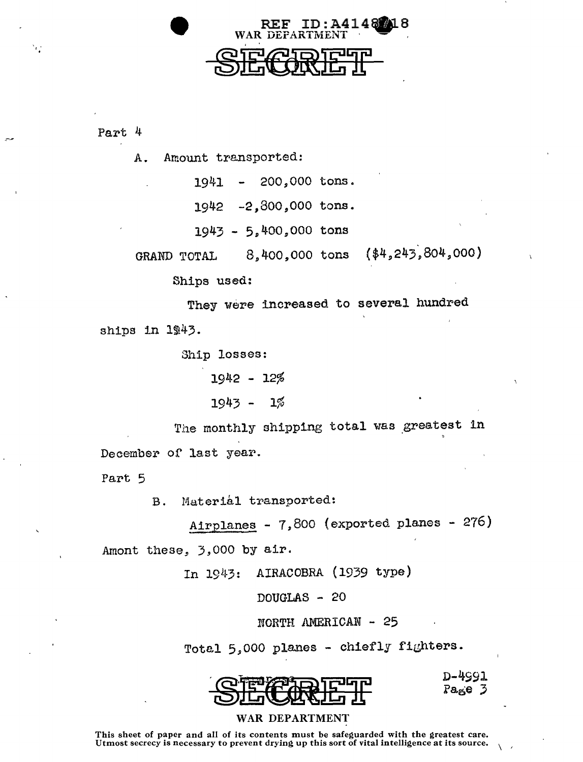

 $\sim$   $\sim$   $\sim$   $\sim$   $\sim$   $\sim$ 

A. Amount transported:

1941 200,000 tons.

REF.

WAR E

1942 -2,800,000 tons.

 $1943 - 5,400,000$  tons

GRAND TOTAL 8,400,000 tons (\$4,243,804,000)

 $ID: A4148$   $18$ 

Ships used:

They were increased to several hundred ships in 1943.

Ship losses:

1942 - 12%

 $1943 - 1%$ 

The monthly shipping total was greatest in December of last year.

Part 5

B. Material transported:

Airplanes - 7,800 (exported planes - 276) Amont these, 3,000 by air.

In 1943: AIRACOBRA (1939 type)

DOUGLAS - 20

NORTH AMERICAN - 25

Total 5,000 planes - chiefly fighters.



D-4991  $Pa<sub>5</sub>e<sub>3</sub>$ 

# WAR DEPARTMENT

This sheet of paper and all of its contents must be safeguarded with the greatest care. Utmost secrecy is necessary to prevent drying up this sort of vital intelligence at its source.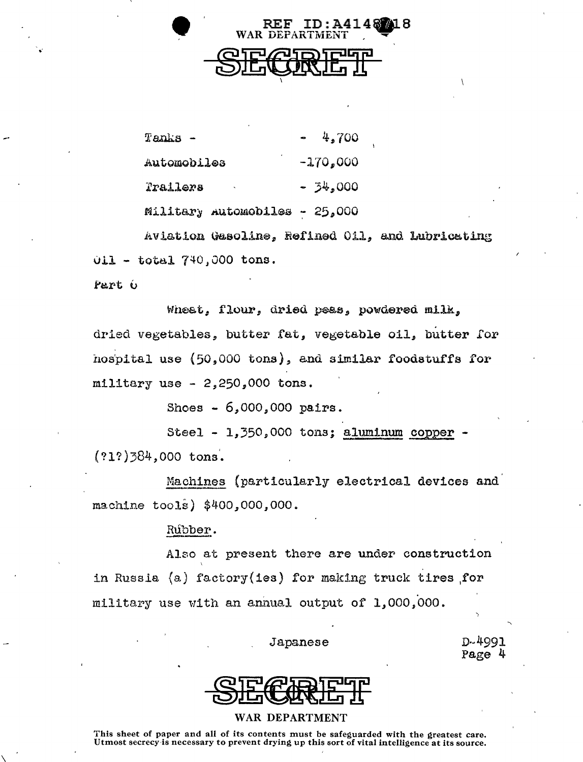

| Tanks -     |                                  |            | $-4,700$  |
|-------------|----------------------------------|------------|-----------|
| Automobiles |                                  | $-170,000$ |           |
| Trailers    |                                  |            | $-34,000$ |
|             | $M111$ tany automobiles - 25 000 |            |           |

Aviation Gasoline, Refined Oil, and Lubricating  $011 - total 740,000$  tons.

Part 6

Wheat, flour, dried peas, powdered milk. dried vegetables, butter fat, vegetable oil, butter for hospital use (50,000 tons), and similar foodstuffs for military use -  $2,250,000$  tons.

Shoes  $-6,000,000$  pairs.

Steel - 1,350,000 tons; aluminum copper  $(212)384,000$  tons.

Machines (particularly electrical devices and machine tools) \$400,000,000.

# Rúbber.

Also at present there are under construction in Russia (a) factory(ies) for making truck tires for military use with an annual output of 1,000,000.

#### Japanese

D-4991 Page 4



### **WAR DEPARTMENT**

This sheet of paper and all of its contents must be safeguarded with the greatest care. Utmost secrecy is necessary to prevent drying up this sort of vital intelligence at its source.